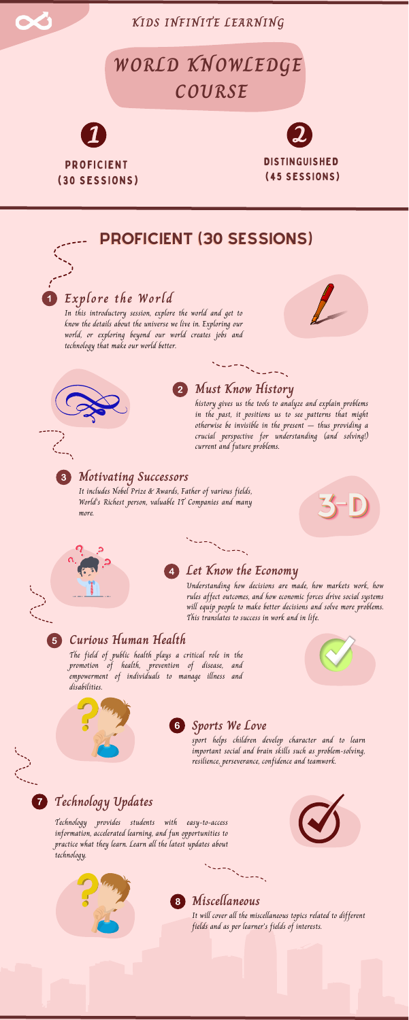#### **Motivating Successors**

### **Explore the World**

In this introductory session, explore the world and get to know the details about the universe we live in. Exploring our world, or exploring beyond our world creates jobs and technology that make our world better.





### **Must Know History**

 $\sum_{i=1}^{n}$ 

history gives us the tools to analyze and explain problems in the past, it positions us to see patterns that might otherwise be invisible in the present  $-$  thus providing a crucial perspective for understanding (and solving!) current and future problems.

# **WORLD KNOWLEDGE COURSE**



**KIDS INFINITE LEARNING**

## PROFICIENT (30 SESSIONS)

It includes Nobel Prize & Awards, Father of various fields, World's Richest person, valuable IT Companies and many more.





 $5^{\circ}$ 

7)



#### **Let Know the Economy**

England Construction

Understanding how decisions are made, how markets work, how rules affect outcomes, and how economic forces drive social systems will equip people to make better decisions and solve more problems. This translates to success in work and in life.

#### **Curious Human Health**

The field of public health plays a critical role in the promotion of health, prevention of disease, and empowerment of individuals to manage illness and disabilities.









#### **Sports We Love**

sport helps children develop character and to learn important social and brain skills such as problem-solving, resilience, perseverance, confidence and teamwork.

## **Technology Updates**

Technology provides students with easy-to-access information, accelerated learning, and fun opportunities to practice what they learn. Learn all the latest updates about technology.





### **Miscellaneous**

8

It will cover all the miscellaneous topics related to different fields and as per learner's fields of interests.